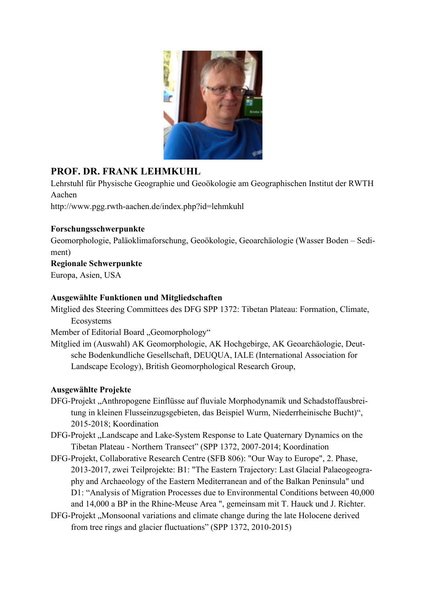

# **PROF. DR. FRANK LEHMKUHL**

Lehrstuhl für Physische Geographie und Geoökologie am Geographischen Institut der RWTH Aachen

http://www.pgg.rwth-aachen.de/index.php?id=lehmkuhl

#### **Forschungsschwerpunkte**

Geomorphologie, Paläoklimaforschung, Geoökologie, Geoarchäologie (Wasser Boden – Sediment)

## **Regionale Schwerpunkte**

Europa, Asien, USA

#### **Ausgewählte Funktionen und Mitgliedschaften**

Mitglied des Steering Committees des DFG SPP 1372: Tibetan Plateau: Formation, Climate, Ecosystems

Member of Editorial Board "Geomorphology"

Mitglied im (Auswahl) AK Geomorphologie, AK Hochgebirge, AK Geoarchäologie, Deutsche Bodenkundliche Gesellschaft, DEUQUA, IALE (International Association for Landscape Ecology), British Geomorphological Research Group,

## **Ausgewählte Projekte**

- DFG-Projekt "Anthropogene Einflüsse auf fluviale Morphodynamik und Schadstoffausbreitung in kleinen Flusseinzugsgebieten, das Beispiel Wurm, Niederrheinische Bucht)", 2015-2018; Koordination
- DFG-Projekt "Landscape and Lake-System Response to Late Quaternary Dynamics on the Tibetan Plateau - Northern Transect" (SPP 1372, 2007-2014; Koordination
- DFG-Projekt, Collaborative Research Centre (SFB 806): "Our Way to Europe", 2. Phase, 2013-2017, zwei Teilprojekte: B1: "The Eastern Trajectory: Last Glacial Palaeogeography and Archaeology of the Eastern Mediterranean and of the Balkan Peninsula" und D1: "Analysis of Migration Processes due to Environmental Conditions between 40,000 and 14,000 a BP in the Rhine-Meuse Area ", gemeinsam mit T. Hauck und J. Richter.
- DFG-Projekt , Monsoonal variations and climate change during the late Holocene derived from tree rings and glacier fluctuations" (SPP 1372, 2010-2015)